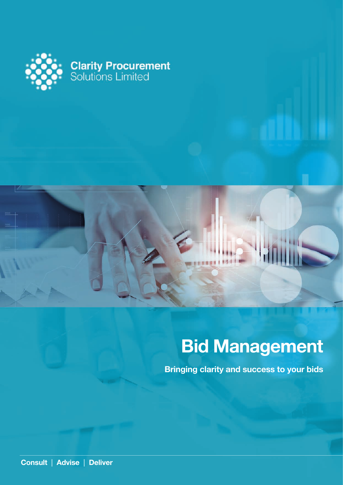

# **Bid Management**

**Bringing clarity and success to your bids**